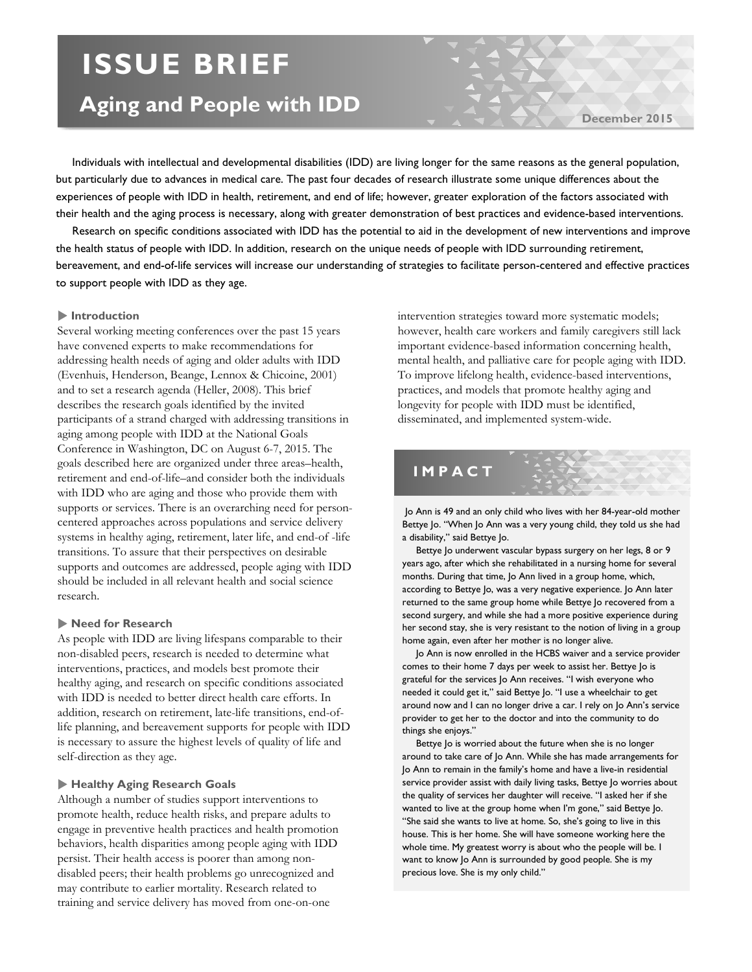# **ISSUE BRIEF**

## **Aging and People with IDD**

**December 2015**

 Individuals with intellectual and developmental disabilities (IDD) are living longer for the same reasons as the general population, but particularly due to advances in medical care. The past four decades of research illustrate some unique differences about the experiences of people with IDD in health, retirement, and end of life; however, greater exploration of the factors associated with their health and the aging process is necessary, along with greater demonstration of best practices and evidence-based interventions.

 Research on specific conditions associated with IDD has the potential to aid in the development of new interventions and improve the health status of people with IDD. In addition, research on the unique needs of people with IDD surrounding retirement, bereavement, and end-of-life services will increase our understanding of strategies to facilitate person-centered and effective practices to support people with IDD as they age.

#### **Introduction**

Several working meeting conferences over the past 15 years have convened experts to make recommendations for addressing health needs of aging and older adults with IDD (Evenhuis, Henderson, Beange, Lennox & Chicoine, 2001) and to set a research agenda (Heller, 2008). This brief describes the research goals identified by the invited participants of a strand charged with addressing transitions in aging among people with IDD at the National Goals Conference in Washington, DC on August 6-7, 2015. The goals described here are organized under three areas–health, retirement and end-of-life–and consider both the individuals with IDD who are aging and those who provide them with supports or services. There is an overarching need for personcentered approaches across populations and service delivery systems in healthy aging, retirement, later life, and end-of -life transitions. To assure that their perspectives on desirable supports and outcomes are addressed, people aging with IDD should be included in all relevant health and social science research.

#### **Need for Research**

As people with IDD are living lifespans comparable to their non-disabled peers, research is needed to determine what interventions, practices, and models best promote their healthy aging, and research on specific conditions associated with IDD is needed to better direct health care efforts. In addition, research on retirement, late-life transitions, end-oflife planning, and bereavement supports for people with IDD is necessary to assure the highest levels of quality of life and self-direction as they age.

#### **Healthy Aging Research Goals**

Although a number of studies support interventions to promote health, reduce health risks, and prepare adults to engage in preventive health practices and health promotion behaviors, health disparities among people aging with IDD persist. Their health access is poorer than among nondisabled peers; their health problems go unrecognized and may contribute to earlier mortality. Research related to training and service delivery has moved from one-on-one

intervention strategies toward more systematic models; however, health care workers and family caregivers still lack important evidence-based information concerning health, mental health, and palliative care for people aging with IDD. To improve lifelong health, evidence-based interventions, practices, and models that promote healthy aging and longevity for people with IDD must be identified, disseminated, and implemented system-wide.

### **IMPACT**

Jo Ann is 49 and an only child who lives with her 84-year-old mother Bettye Jo. "When Jo Ann was a very young child, they told us she had a disability," said Bettye Jo.

 Bettye Jo underwent vascular bypass surgery on her legs, 8 or 9 years ago, after which she rehabilitated in a nursing home for several months. During that time, Jo Ann lived in a group home, which, according to Bettye Jo, was a very negative experience. Jo Ann later returned to the same group home while Bettye Jo recovered from a second surgery, and while she had a more positive experience during her second stay, she is very resistant to the notion of living in a group home again, even after her mother is no longer alive.

 Jo Ann is now enrolled in the HCBS waiver and a service provider comes to their home 7 days per week to assist her. Bettye Jo is grateful for the services Jo Ann receives. "I wish everyone who needed it could get it," said Bettye Jo. "I use a wheelchair to get around now and I can no longer drive a car. I rely on Jo Ann's service provider to get her to the doctor and into the community to do things she enjoys."

 Bettye Jo is worried about the future when she is no longer around to take care of Jo Ann. While she has made arrangements for Jo Ann to remain in the family's home and have a live-in residential service provider assist with daily living tasks, Bettye Jo worries about the quality of services her daughter will receive. "I asked her if she wanted to live at the group home when I'm gone," said Bettye Jo. "She said she wants to live at home. So, she's going to live in this house. This is her home. She will have someone working here the whole time. My greatest worry is about who the people will be. I want to know Jo Ann is surrounded by good people. She is my precious love. She is my only child."